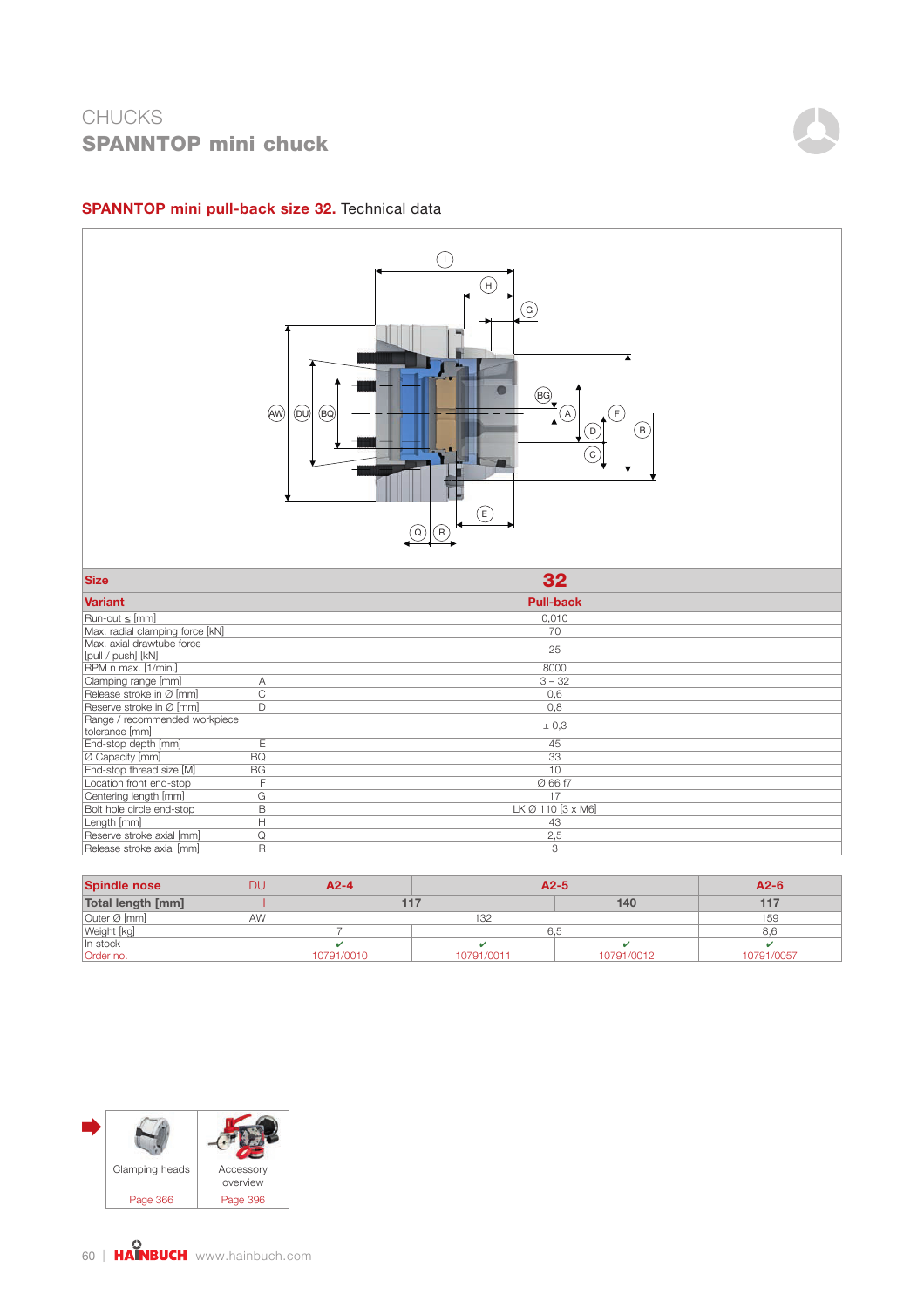

#### SPANNTOP mini pull-back size 32. Technical data



| <b>Spindle nose</b> | <b>DU</b>       | $A2-4$     | $A2-5$     | $A2-6$     |            |  |
|---------------------|-----------------|------------|------------|------------|------------|--|
| Total length [mm]   |                 |            | $1 - 7$    | 140        |            |  |
| Outer Ø [mm]        | AW <sup>1</sup> |            | 132        |            |            |  |
| Weight [kg]         |                 |            |            | 6.5        |            |  |
| In stock            |                 |            |            |            |            |  |
| Order no.           |                 | 10791/0010 | 10791/0011 | 10791/0012 | 10791/0057 |  |

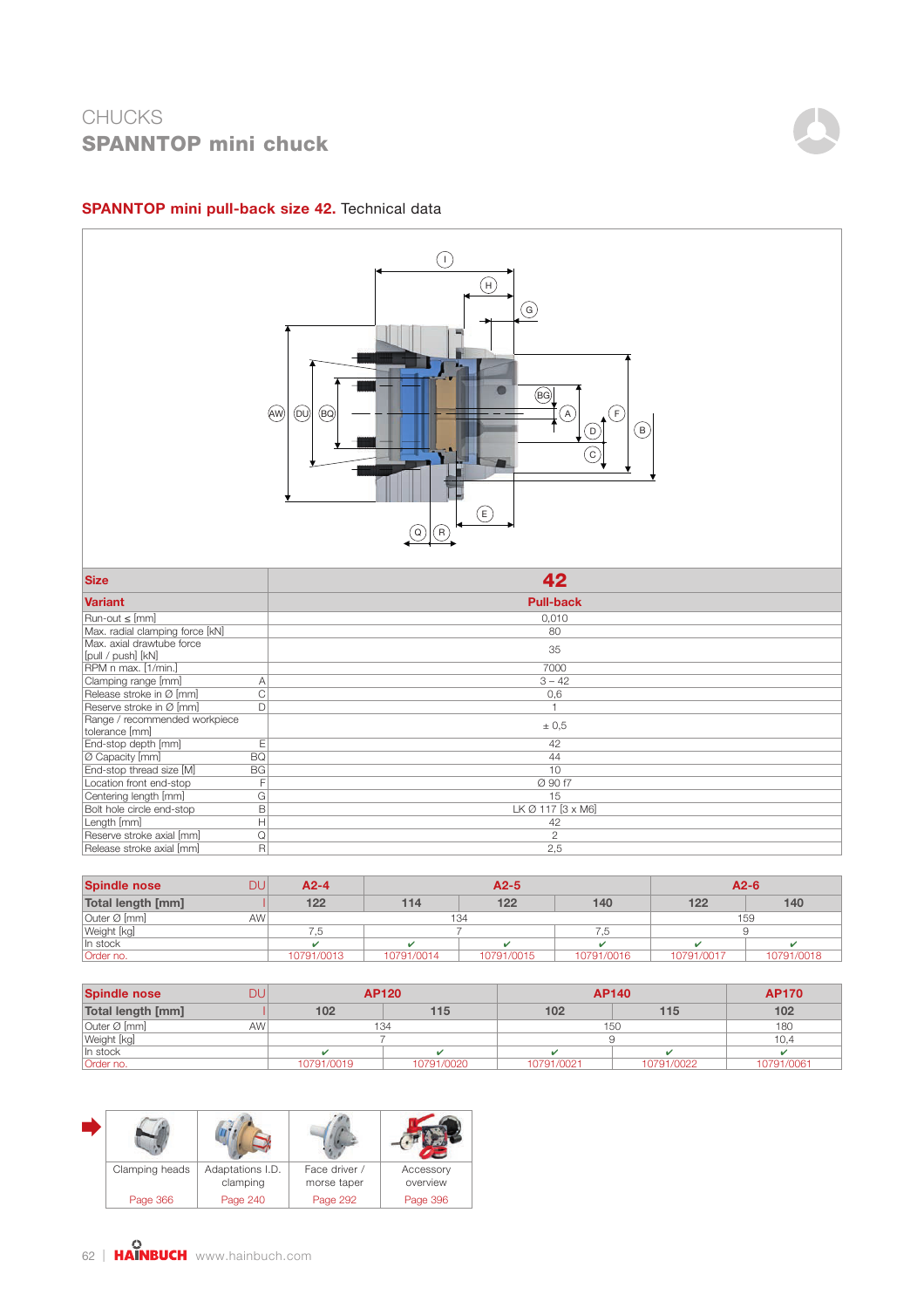

#### SPANNTOP mini pull-back size 42. Technical data



| <b>Spindle nose</b> | DU.       | $A2-4$     | $A2-5$     |            |            | $A2-6$     |            |  |  |
|---------------------|-----------|------------|------------|------------|------------|------------|------------|--|--|
| Total length [mm]   |           | 122        | 114        | 122        | 140        | 122        | 140        |  |  |
| Outer Ø [mm]        | <b>AW</b> |            | 134        |            |            |            | 159        |  |  |
| Weight [kg]         |           | .5         |            |            |            |            |            |  |  |
| In stock            |           |            |            |            |            |            |            |  |  |
| Order no.           |           | 10791/0013 | 10791/0014 | 10791/0015 | 10791/0016 | 10791/0017 | 10791/0018 |  |  |

| <b>Spindle nose</b> | וופ             | AP120      |            |            | AP140      | <b>AP170</b> |  |
|---------------------|-----------------|------------|------------|------------|------------|--------------|--|
| Total length [mm]   |                 | 102        | 115        | 102        | 115        | 102          |  |
| Outer Ø [mm]        | AW <sup>'</sup> | 134        |            | 150        | 180        |              |  |
| Weight [kg]         |                 |            |            |            |            |              |  |
| In stock            |                 |            |            |            |            |              |  |
| Order no.           |                 | 10791/0019 | 10791/0020 | 10791/0021 | 10791/0022 | 10791/0061   |  |

| Clamping heads | Adaptations I.D.<br>clamping | Face driver /<br>morse taper | Accessory<br>overview |
|----------------|------------------------------|------------------------------|-----------------------|
| Page 366       | Page 240                     | Page 292                     | Page 396              |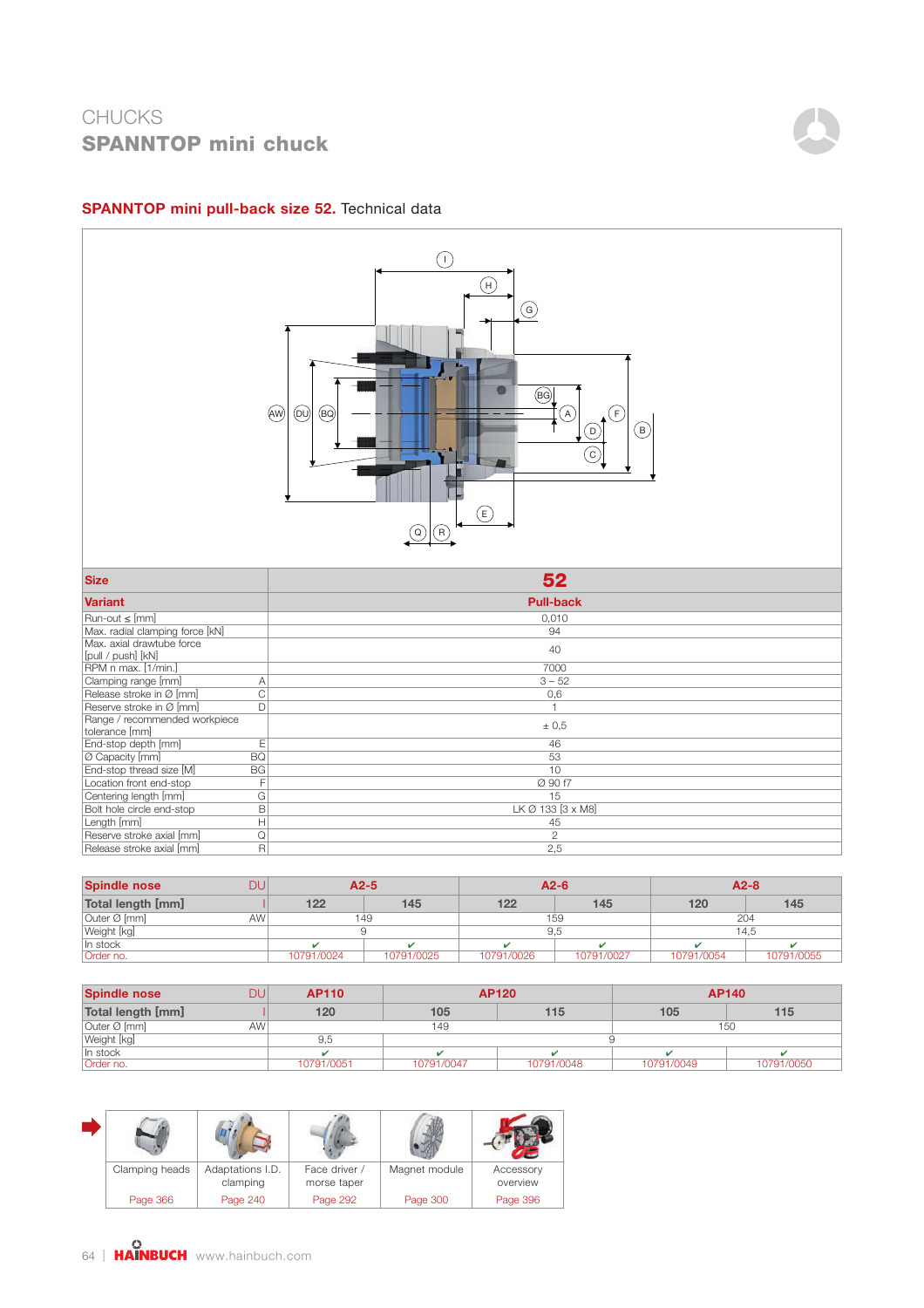

#### SPANNTOP mini pull-back size 52. Technical data



| <b>Spindle nose</b> | DU              |            | $A2-5$     | $A2-6$     |            | $A2-8$     |            |  |
|---------------------|-----------------|------------|------------|------------|------------|------------|------------|--|
| Total length [mm]   |                 | 122        | 145        | 122        | 145        | 120        | 145        |  |
| Outer Ø [mm]        | AW <sup>1</sup> |            | 149        |            | 159        | 204        |            |  |
| Weight [kg]         |                 |            |            | 9.5        |            | 14.5       |            |  |
| In stock            |                 |            |            |            |            |            |            |  |
| Order no.           |                 | 10791/0024 | 10791/0025 | 10791/0026 | 10791/0027 | 10791/0054 | 10791/0055 |  |

| <b>Spindle nose</b> | DU              | <b>AP110</b> | <b>AP120</b> |            | AP140      |            |
|---------------------|-----------------|--------------|--------------|------------|------------|------------|
| Total length [mm]   |                 | 120          | 105          | 115        | 105        | 115        |
| Outer Ø [mm]        | AW <sup>I</sup> |              | 150<br>149   |            |            |            |
| Weight [kg]         |                 | 9.5          |              |            |            |            |
| In stock            |                 |              |              |            |            |            |
| Order no.           |                 | 10791/0051   | 10791/0047   | 10791/0048 | 10791/0049 | 10791/0050 |

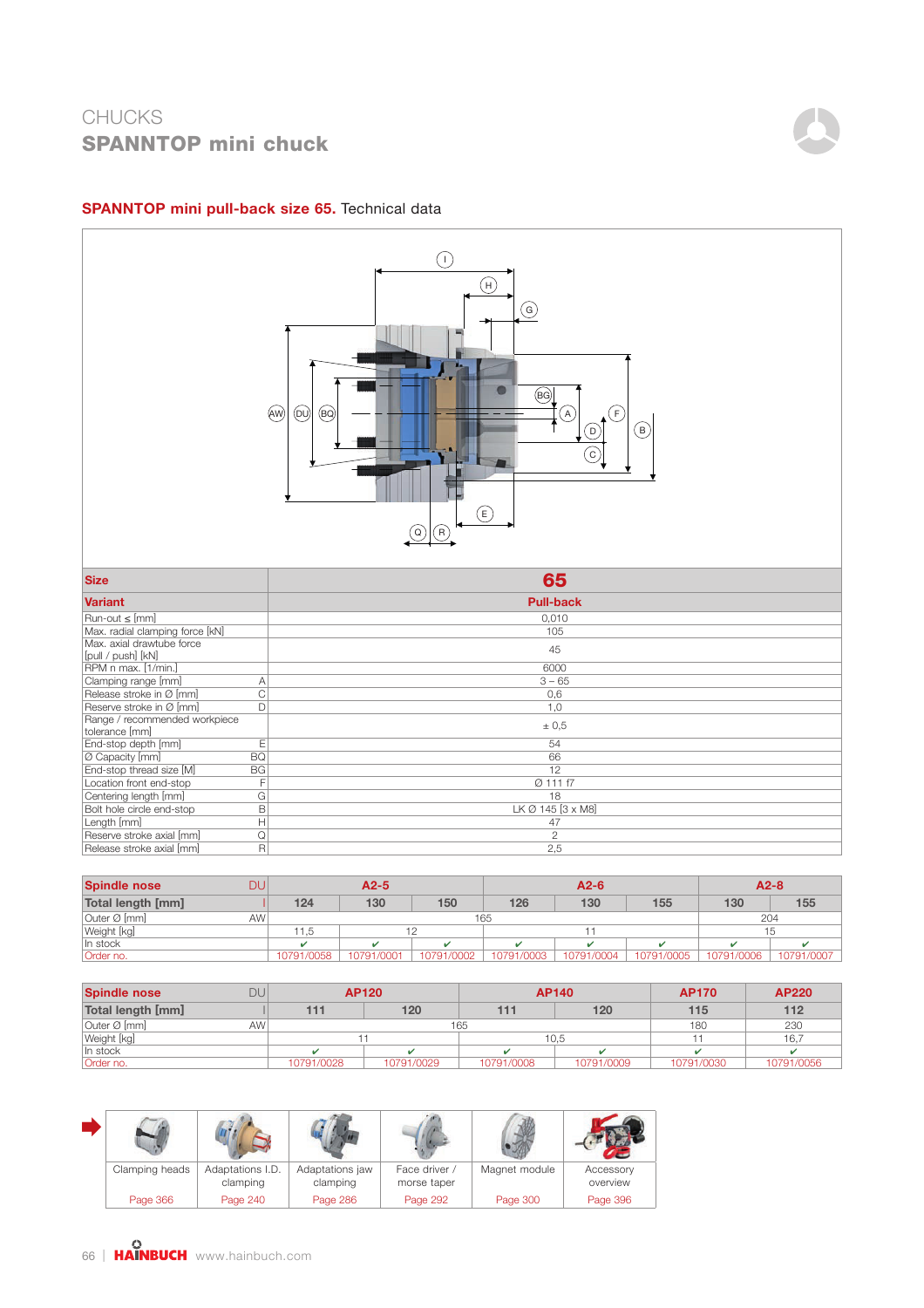

#### SPANNTOP mini pull-back size 65. Technical data



| <b>Spindle nose</b> | DU              |            | $A2-5$<br>$A2-6$ |            |            |            | $A2-8$     |            |            |
|---------------------|-----------------|------------|------------------|------------|------------|------------|------------|------------|------------|
| Total length [mm]   |                 | 124        | 130              | 150        | 126        | 130        | 155        | 130        | 155        |
| Outer Ø [mm]        | AW <sup>1</sup> |            | 165              |            |            |            | 204        |            |            |
| Weight [kg]         |                 | ' 1.5      |                  |            |            |            | 15         |            |            |
| In stock            |                 |            |                  |            |            |            |            |            |            |
| Order no.           |                 | 10791/0058 | 10791/0001       | 10791/0002 | 10791/0003 | 10791/0004 | 10791/0005 | 10791/0006 | 10791/0007 |

| <b>Spindle nose</b> | DU |            | <b>AP140</b><br><b>AP120</b> |            |            | <b>AP170</b> | <b>AP220</b> |
|---------------------|----|------------|------------------------------|------------|------------|--------------|--------------|
| Total length [mm]   |    |            | 120                          | 111        | 120        | 115          | 112          |
| Outer Ø [mm]        | AW |            | 165                          |            |            |              | 230          |
| Weight [kg]         |    |            |                              |            | 10.5       |              | 16,7         |
| In stock            |    |            |                              |            |            |              |              |
| Order no.           |    | 10791/0028 | 10791/0029                   | 10791/0008 | 10791/0009 | 10791/0030   | 10791/0056   |

| Clamping heads | Adaptations I.D.<br>clamping | Adaptations jaw<br>clamping | Face driver /<br>morse taper | Magnet module | Accessory<br>overview |
|----------------|------------------------------|-----------------------------|------------------------------|---------------|-----------------------|
| Page 366       | Page 240                     | Page 286                    | Page 292                     | Page 300      | Page 396              |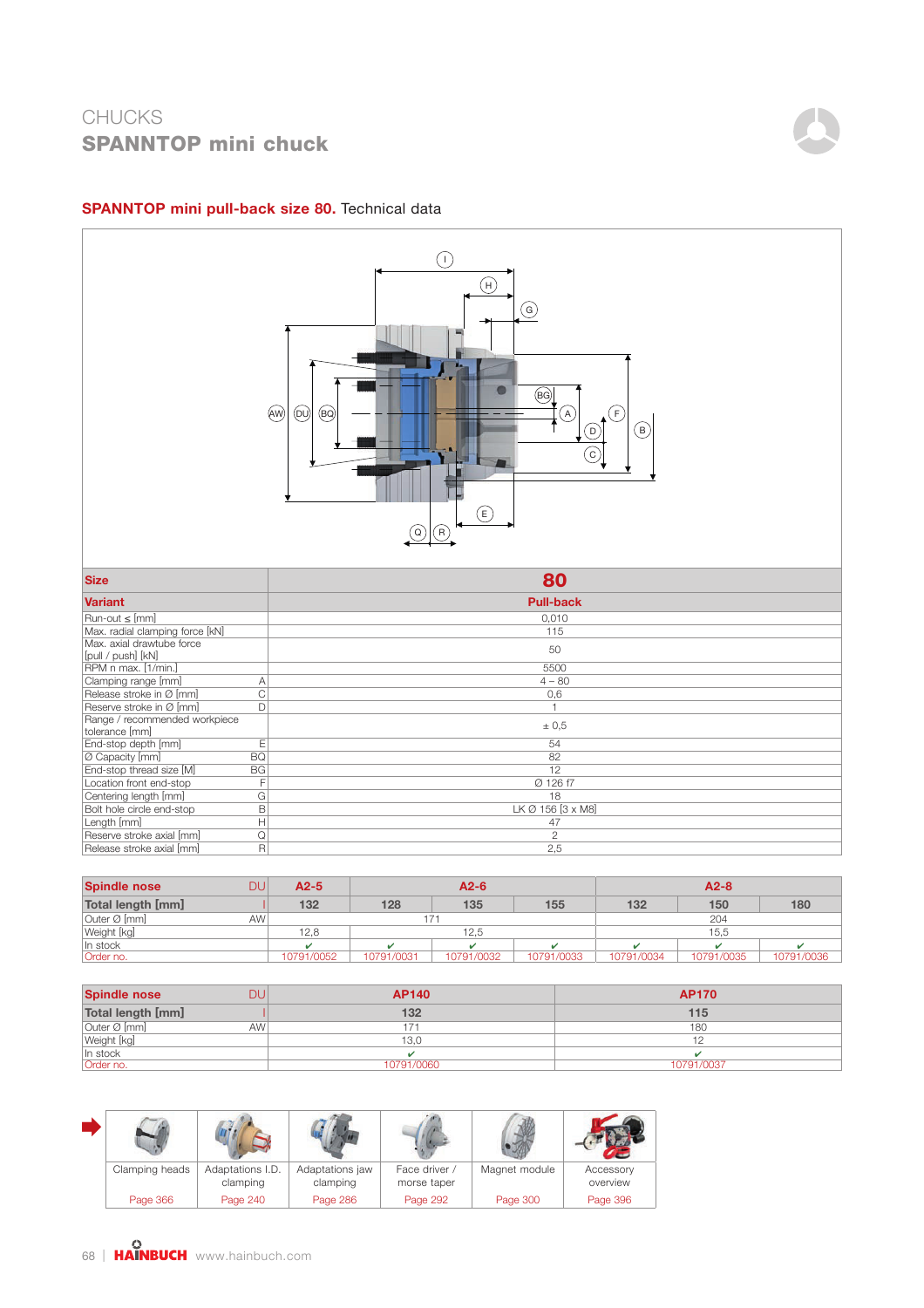

### SPANNTOP mini pull-back size 80. Technical data



| <b>Spindle nose</b> | DU        | $A2-5$     |            | $A2-6$     |            |            | $A2-8$     |            |
|---------------------|-----------|------------|------------|------------|------------|------------|------------|------------|
| Total length [mm]   |           | 132        | 128        | 135        | 155        | 132        | 150        | 180        |
| Outer Ø [mm]        | <b>AW</b> |            | 171        |            |            |            | 204        |            |
| Weight [kg]         |           | 12,8       |            | 12.5       |            |            | 15.5       |            |
| In stock            |           |            |            |            |            |            |            |            |
| Order no.           |           | 10791/0052 | 10791/0031 | 10791/0032 | 10791/0033 | 10791/0034 | 10791/0035 | 10791/0036 |

| <b>Spindle nose</b> | DU              | <b>AP140</b> | <b>AP170</b> |
|---------------------|-----------------|--------------|--------------|
| Total length [mm]   |                 | 132          | 115          |
| Outer Ø [mm]        | AW <sup>!</sup> | 171          | 180          |
| Weight [kg]         |                 | 13.0         |              |
|                     |                 |              |              |
| Order no.           |                 | 10791/0060   | 10791/0037   |

| Clamping heads | Adaptations I.D.<br>clamping | Adaptations jaw<br>clamping | Face driver /<br>morse taper | Magnet module | Accessory<br>overview |
|----------------|------------------------------|-----------------------------|------------------------------|---------------|-----------------------|
| Page 366       | Page 240                     | Page 286                    | Page 292                     | Page 300      | Page 396              |